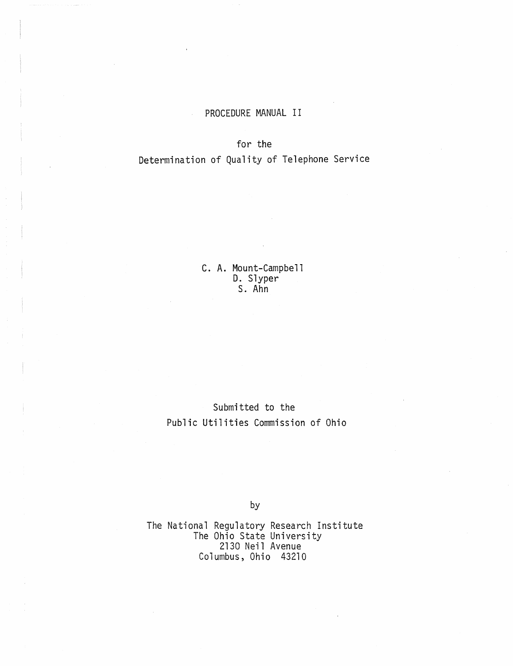### PROCEDURE MANUAL II

#### for the

## Determination of Quality of Telephone Service

C. A. Mount-Campbell D. Slyper s. Ahn

# Submitted to the Public Utilities Commission of Ohio

by

The National Regulatory Research Institute The Ohio State University 2130 Neil Avenue Columbus, Ohio 43210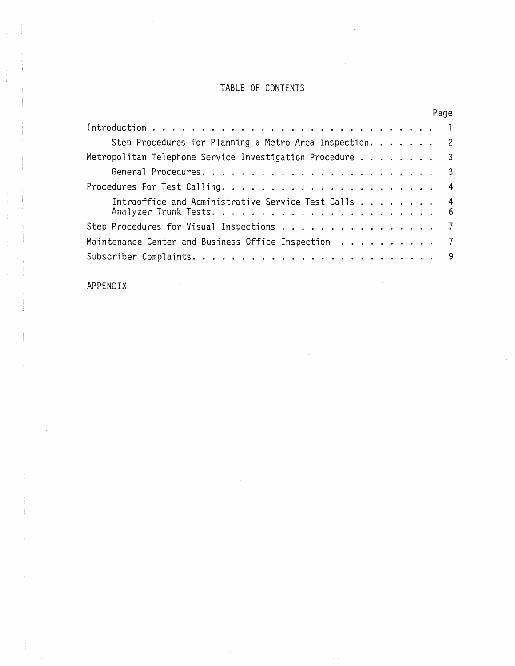## TABLE OF CONTENTS

|                                                          | Page |
|----------------------------------------------------------|------|
|                                                          |      |
| Step Procedures for Planning a Metro Area Inspection. 2  |      |
| Metropolitan Telephone Service Investigation Procedure 3 |      |
|                                                          |      |
|                                                          |      |
| Intraoffice and Administrative Service Test Calls 4      |      |
| Step Procedures for Visual Inspections 7                 |      |
| Maintenance Center and Business Office Inspection 7      |      |
|                                                          |      |

## APPENDIX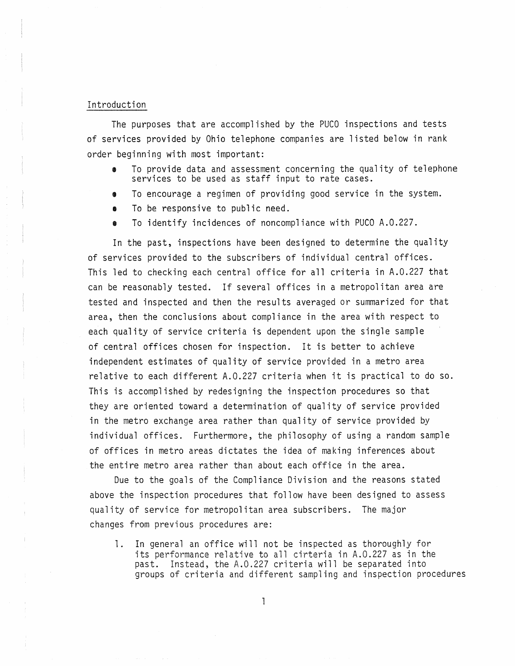#### Introduction

The purposes that are accomplished by the PUCO inspections and tests of services provided by Ohio telephone companies are listed below in rank order beginning with most important:

- To provide data and assessment concerning the quality of telephone<br>services to be used as staff input to rate cases.
- To encourage a regimen of providing good service in the system.
- To be responsive to public need.
- To identify incidences of noncompliance with PUCO A.0.227.

In the past, inspections have been designed to determine the quality of services provided to the subscribers of individual central offices. This led to checking each central office for all criteria in A.O.227 that can be reasonably tested. If several offices in a metropolitan area are tested and inspected and then the results averaged or summarized for that area, then the conclusions about compliance in the area with respect to each quality of service criteria is dependent upon the single sample of central offices chosen for inspection. It is better to achieve independent estimates of quality of service provided in a metro area relative to each different A.O.227 criteria when it is practical to do so. This is accomplished by redesigning the inspection procedures so that they are oriented toward a determination of quality of service provided in the metro exchange area rather than quality of service provided by individual offices. Furthermore, the philosophy of using a random sample of offices in metro areas dictates the idea of making inferences about the entire metro area rather than about each office in the area.

Due to the goals of the Compliance Division and the reasons stated above the inspection procedures that follow have been designed to assess quality of service for metropolitan area subscribers. The major changes from previous procedures are:

1. In general an office will not be inspected as thoroughly for its performance relative to all cirteria in A.O.227 as in the past. Instead, the A.O.227 criteria will be separated into groups of criteria and different sampling and inspection procedures

 $\mathbb{I}$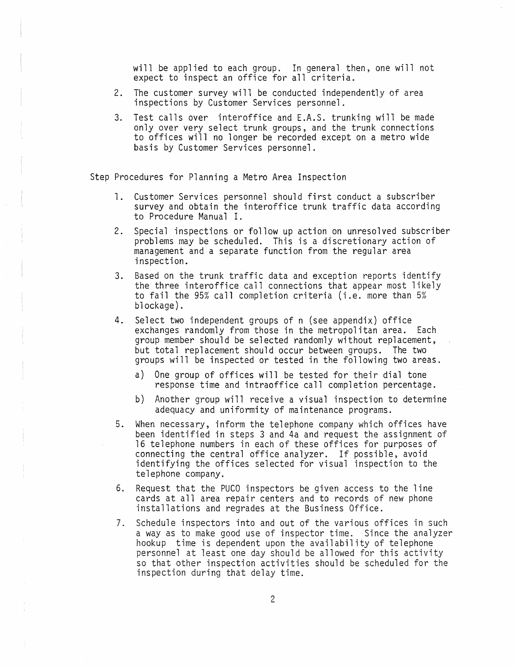will be applied to each group. In general then, one will not expect to inspect an office for all criteria.

- 2. The customer survey will be conducted independently of area inspections by Customer Services personnel.
- 3. Test calls over interoffice and E.A.S. trunking will be made only over very select trunk groups, and the trunk connections to offices will no longer be recorded except on a metro wide basis by Customer Services personnel.

Step Procedures for Planning a Metro Area Inspection

- 1. Customer Services personnel should first conduct a subscriber survey and obtain the interoffice trunk traffic data according to Procedure Manual I.
- 2. Special inspections or follow up action on unresolved subscriber problems may be scheduled. This is a discretionary action of management and a separate function from the regular area inspection.
- 3. Based on the trunk traffic data and exception reports identify the three interoffice call connections that appear most likely to fail the 95% call completion criteria (i.e. more than 5% blockage).
- 4. Select two independent groups of n (see appendix) office exchanges randomly from those in the metropolitan area. Each group member should be selected randomly without replacement, but total replacement should occur between groups. The two groups will be inspected or tested in the following two areas.
	- a) One group of offices will be tested for their dial tone response time and intraoffice call completion percentage.
	- b) Another group will receive a visual inspection to determine adequacy and uniformity of maintenance programs.
- 5. When necessary, inform the telephone company which offices have been identified in steps 3 and 4a and request the assignment of 16 telephone numbers in each of these offices for purposes of connecting the central office analyzer. If possible, avoid identifying the offices selected for visual inspection to the telephone company\_
- 6. Request that the PUCO inspectors be given access to the line cards at all area repair centers and to records of new phone installations and regrades at the Business Office.
- 7. Schedule inspectors into and out of the various offices in such a way as to make good use of inspector time. Since the analyzer hookup time is dependent upon the availability of telephone personnel at least one day should be allowed for this activity so that other inspection activities should be scheduled for the inspection during that delay time.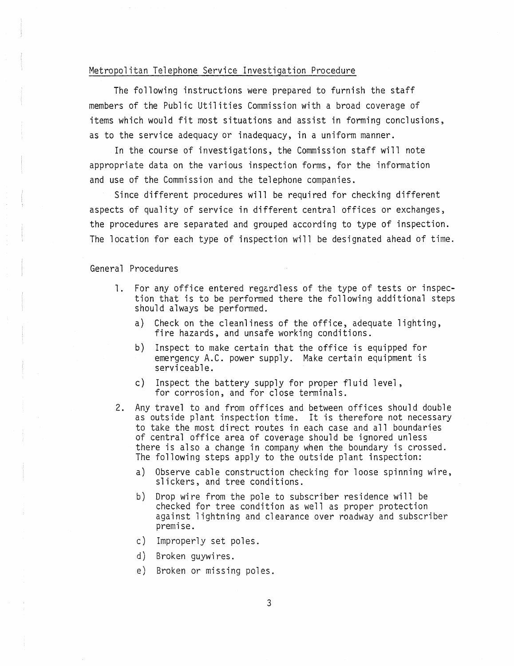#### Metropolitan Telephone Service Investigation Procedure

The following instructions were prepared to furnish the staff members of the Public Utilities Commission with a broad coverage of items which would fit most situations and assist in forming conclusions, as to the service adequacy or inadequacy, in a uniform manner.

In the course of investigations, the Commission staff will note appropriate data on the various inspection forms, for the information and use of the Commission and the telephone companies.

Since different procedures will be required for checking different aspects of quality of service in different central offices or exchanges, the procedures are separated and grouped according to type of inspection. The location for each type of inspection will be designated ahead of time.

General Procedures

- 1. For any office entered regardless of the type of tests or inspection that is to be performed there the following additional steps should always be performed.
	- a) Check on the cleanliness of the office, adequate lighting, fire hazards, and unsafe working conditions.
	- b) Inspect to make certain that the office is equipped for emergency A.C. power supply. Make certain equipment is serviceable.
	- c) Inspect the battery supply for proper fluid level, for corrosion, and for close terminals.
- 2. Any travel to and from offices and between offices should double as outside plant inspection time. It is therefore not necessary to take the most direct routes in each case and all boundaries of central office area of coverage should be ignored unless there is also a change in company when the boundary is crossed. The following steps apply to the outside plant inspection:
	- a) Observe cable construction checking for loose spinning wire, slickers, and tree conditions.
	- b) Drop wire from the pole to subscriber residence will be checked for tree condition as well as proper protection against lightning and clearance over roadway and subscriber premise.
	- c) Improperly set poles.
	- d) Broken guywires.
	- e) Broken or missing poles.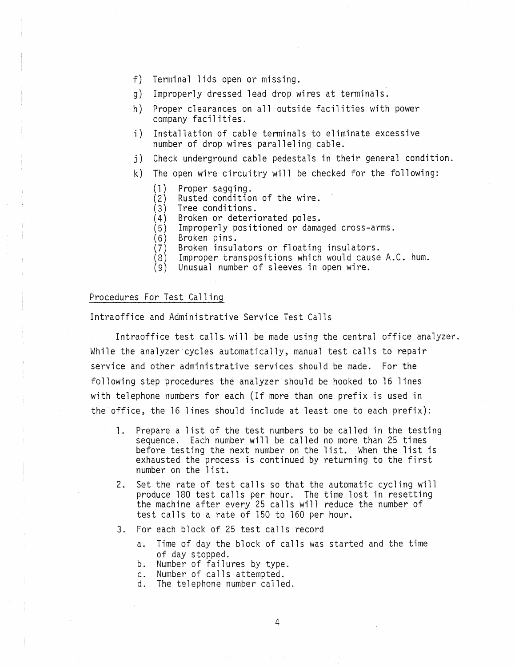- f) Terminal lids open or missing.
- g) Improperly dressed lead drop wires at terminals.
- h) Proper clearances on all outside facilities with power company facilities.
- i) Installation of cable terminals to eliminate excessive number of drop wires paralleling cable.
- j) Check underground cable pedestals in their general condition.
- k) The open wire circuitry will be checked for the following:
	-
	- (1) Proper sagging.<br>(2) Rusted condition of the wire.<br>(3) Tree conditions.
	- (3) Tree conditions.<br>(4) Broken or deteri
	- (4) Broken or deteriorated poles.<br>(5) Improperly positioned or dama
	- Improperly positioned or damaged cross-arms.
	- (6) Broken pins.<br>(7) Broken insul
	- Broken insulators or floating insulators.
	- (8) Improper transpositions which would cause A.C. hum.
	- (9) Unusual number of sleeves in open wire.

#### Procedures For Test Calling

Intraoffice and Administrative Service Test Calls

Intraoffice test calls will be made using the central office analyzer. While the analyzer cycles automatically, manual test calls to repair service and other administrative services should be made. For the following step procedures the analyzer should be hooked to 16 lines with telephone numbers for each (If more than one prefix is used in the office, the 16 lines should include at least one to each prefix):

- 1. Prepare a list of the test numbers to be called in the testing sequence. Each number will be called no more than 25 times before testing the next number on the list. When the list is exhausted the process is continued by returning to the first number on the list.
- 2. Set the rate of test calls so that the automatic cycling will produce 180 test calls per hour. The time lost in resetting the machine after every 25 calls will reduce the number of test calls to a rate of 150 to 160 per hour.
- 3. For each block of 25 test calls record
	- a. Time of day the block of calls was started and the time of day stopped. b. Number of failures by type.
	-
	-
	- c. Number of calls attempted. d. The telephone number called.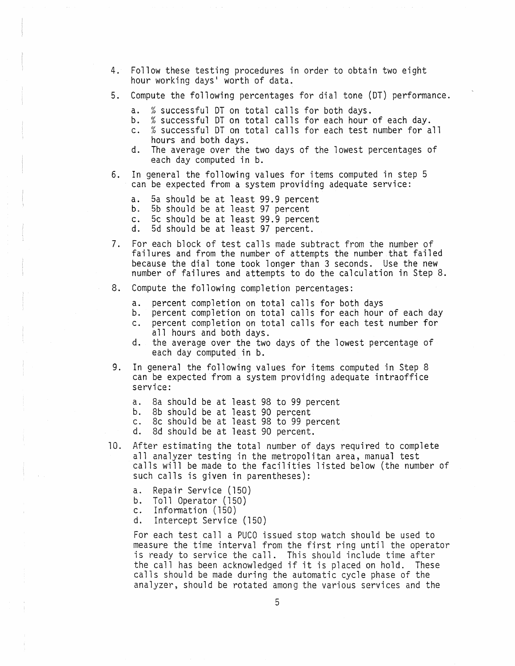- 4. Follow these testing procedures in order to obtain two eight hour working days' worth of data.
- 5. Compute the following percentages for dial tone (DT) performance.
	- a. % successful DT on total calls for both days.
	- b. % successful DT on total calls for each hour of each day.
	- c. % successful DT on total calls for each test number for all
	- d. The average over the two days of the lowest percentages of each day computed in b.
- 6. In general the following values for items computed in step 5 can be expected from a system providing adequate service:
	- a. 5a should be at least 99.9 percent
	- b. 5b should be at least 97 percent<br>c. 5c should be at least 99.9 percer
	- c. 5c should be at least 99.9 percent d. 5d should be at least 97 percent.
	-
- 7. For each block of test calls made subtract from the number of failures and from the number of attempts the number that failed because the dial tone took longer than 3 seconds. Use the new number of failures and attempts to do the calculation in Step 8.
- 8. Compute the following completion percentages:
	- a. percent completion on total calls for both days
	- percent completion on total calls for each hour of each day
	- c. percent completion on total calls for each test number for all hours and both days.
	- d. the average over the two days of the lowest percentage of each day computed in b.
- 9. In general the following values for items computed in Step 8 can be expected from a system providing adequate intraoffice service:
	- a. 8a should be at least 98 to 99 percent
	- b. 8b should be at least 90 percent<br>c. 8c should be at least 98 to 99 pm
	- c. 8c should be at least 98 to 99 percent
	- 8d should be at least 90 percent.
- 10. After estimating the total number of days required to complete all analyzer testing in the metropolitan area, manual test calls will be made to the facilities listed below (the number of such calls is given in parentheses):
	- a. Repair Service (150)
	- b. Toll Operator (150)<br>c. Information (150)
	- Information (150)
	- d. Intercept Service (150)

For each test call a PUCO issued stop watch should be used to measure the time interval from the first ring until the operator is ready to service the call. This should include time after the call has been acknowledged if it is placed on hold. These calls should be made during the automatic cycle phase of the analyzer, should be rotated among the various services and the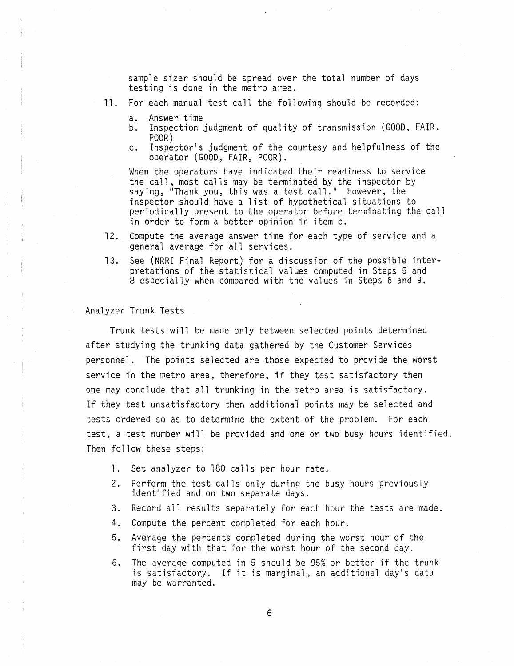sample sizer should be spread over the total number of days testing is done in the metro area.

- 11. For each manual test call the following should be recorded:
	- a. Answer time
	- b. Inspection judgment of quality of transmission (GOOD, FAIR, POOR)
	- c. Inspector's judgment of the courtesy and helpfulness of the operator (GOOD, FAIR, POOR).

When the operators' have indicated their readiness to service the call, most calls may be terminated by the inspector by saying, "Thank you, this was a test call." However, the inspector should have a list of hypothetical situations to periodically present to the operator before terminating the call in order to form a better opinion in item c.

- 12. Compute the average answer time for each type of service and a general average for all services.
- 13. See (NRRI Final Report) for a discussion of the possible interpretations of the statistical values computed in Steps 5 and 8 especially when compared with the values in Steps 6 and 9.

#### Analyzer Trunk Tests

Trunk tests will be made only between selected points determined after studying the trunking data gathered by the Customer Services personnel. The points selected are those expected to provide the worst service in the metro area, therefore, if they test satisfactory then one may conclude that all trunking in the metro area is satisfactory. If they test unsatisfactory then additional points may be selected and tests ordered so as to determine the extent of the problem. For each test, a test number will be provided and one or two busy hours identified. Then follow these steps:

- 1. Set analyzer to 180 calls per hour rate.
- 2. Perform the test calls only during the busy hours previously identified and on two separate days.
- 3. Record all results separately for each hour the tests are made.
- 4. Compute the percent completed for each hour.
- 5. Average the percents completed during the worst hour of the first day with that for the worst hour of the second day.
- 6. The average computed in 5 should be 95% or better if the trunk is satisfactory. If it is marginal, an additional day's data may be warranted.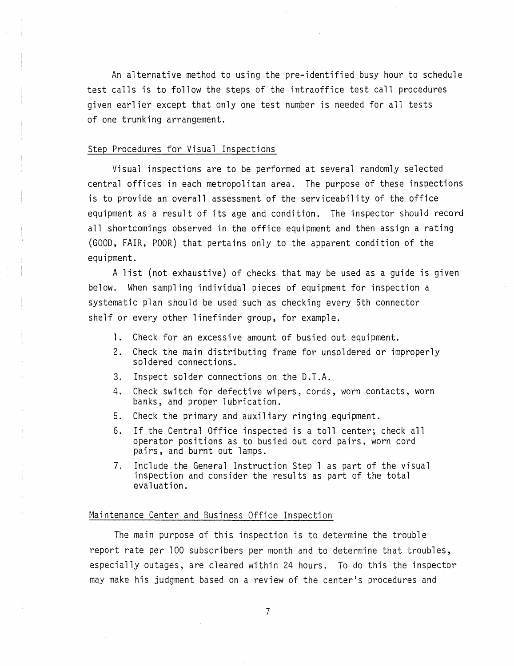An alternative method to using the pre-identified busy hour to schedule test calls is to follow the steps of the intraoffice test call procedures given earlier except that only one test number is needed for all tests of one trunking arrangement.

#### Step Procedures for Visual Inspections

Visual inspections are to be performed at several randomly selected central offices in each metropolitan area. The purpose of these inspections is to provide an overall assessment of the serviceability of the office equipment as a result of its age and condition. The inspector should record all shortcomings observed in the office equipment and then assign a rating (GOOD, FAIR, POOR) that pertains only to the apparent condition of the equipment.

A list (not exhaustive) of checks that may be used as a guide is given below. When sampling individual pieces of equipment for inspection a systematic plan should be used such as checking every 5th connector shelf or every other linefinder group, for example.

- 1. Check for an excessive amount of busied out equipment.
- 2. Check the main distributing frame for unsoldered or improperly soldered connections.
- 3. Inspect solder connections on the D.T.A.
- 4. Check switch for defective wipers, cords, worn contacts, worn banks, and proper lubrication.
- 5. Check the primary and auxiliary ringing equipment.
- 6. If the Central Office inspected is a toll center; check all operator positions as to busied out cord pairs, worn cord pairs, and burnt out lamps.
- 7. Include the General Instruction Step 1 as part of the visual inspection and consider the results as part of the total evaluation.

#### Maintenance Center and Business Office Inspection

The main purpose of this inspection is to determine the trouble report rate per 100 subscribers per month and to determine that troubles, especially outages, are cleared within 24 hours. To do this the inspector may make his judgment based on a review of the center's procedures and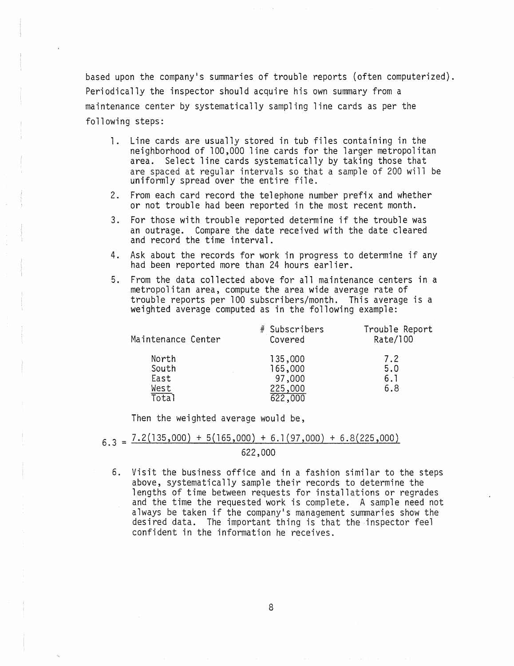based upon the company's summaries of trouble reports (often computerized). Periodically the inspector should acquire his own summary from a maintenance center by systematically sampling line cards as per the following steps:

- 1. Line cards are usually stored in tub files containing in the neighborhood of 100,000 line cards for the larger metropolitan area. Select line cards systematically by taking those that are spaced at regular intervals so that a sample of 200 will be uniformly spread over the entire file.
- 2. From each card record the telephone number prefix and whether or not trouble had been reported in the most recent month.
- 3. For those with trouble reported determine if the trouble was an outrage. Compare the date received with the date cleared and record the time interval.
- 4. Ask about the records for work in progress to determine if any had been reported more than 24 hours earlier.
- 5. From the data collected above for all maintenance centers in a metropolitan area, compute the area wide average rate of trouble reports per 100 subscribers/month. This average is a weighted average computed as in the following example:

| Maintenance Center | # Subscribers<br>Covered | Trouble Report<br>Rate/100 |
|--------------------|--------------------------|----------------------------|
| North              | 135,000                  | 7.2                        |
| South              | 165,000                  | 5.0                        |
| East               | 97,000                   | 6.1                        |
| West               | 225,000                  | 6.8                        |
| Total              | 622,000                  |                            |

Then the weighted average would be,

# $6.3 = 7.2(135,000) + 5(165,000) + 6.1(97,000) + 6.8(225,000)$

622,000

6. Visit the business office and in a fashion similar to the steps above, systematically sample their records to determine the lengths of time between requests for installations or regrades and the time the requested work is complete. A sample need not always be taken if the company's management summaries show the desired data. The important thing is that the inspector feel confident in the information he receives.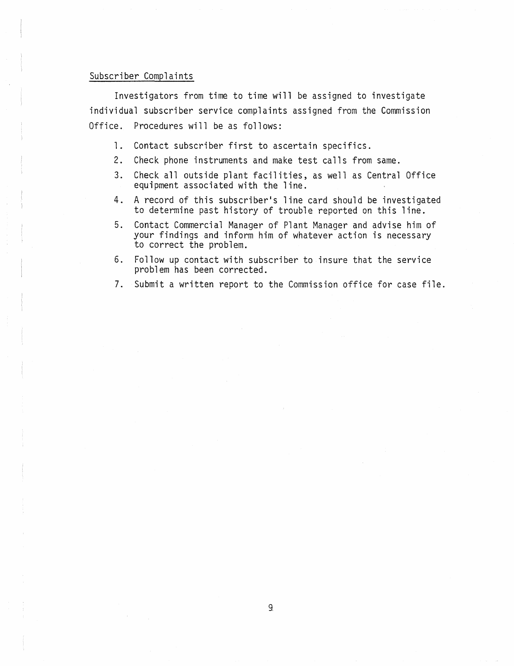#### Subscriber Complaints

Investigators from time to time will be assigned to investigate individual subscriber service complaints assigned from the Commission Office. Procedures will be as follows:

- 1. Contact subscriber first to ascertain specifics.
- 2. Check phone instruments and make test calls from same.
- 3. Check all outside plant facilities, as well as Central Office equipment associated with the line.
- 4. A record of this subscriber's line card should be investigated to determine past history of trouble reported on this line.
- 5. Contact Commercial Manager of Plant Manager and advise him of your findings and inform him of whatever action is necessary to correct the problem.
- 6. Follow up contact with subscriber to insure that the service problem has been corrected.
- 7. Submit a written report to the Commission office for case file.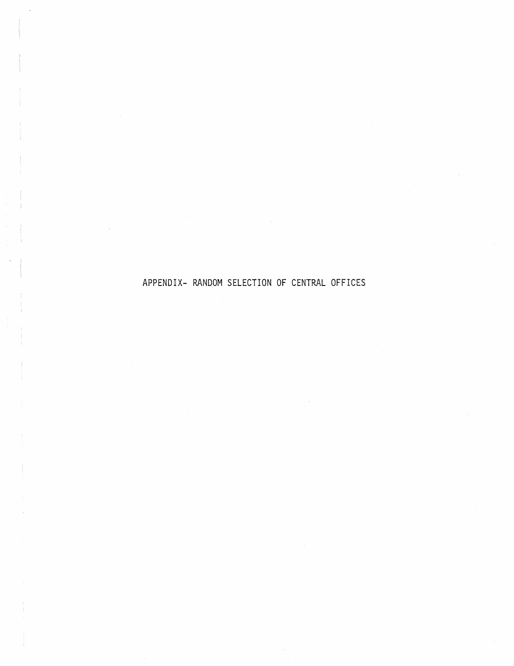# APPENDIX- RANDOM SELECTION OF CENTRAL OFFICES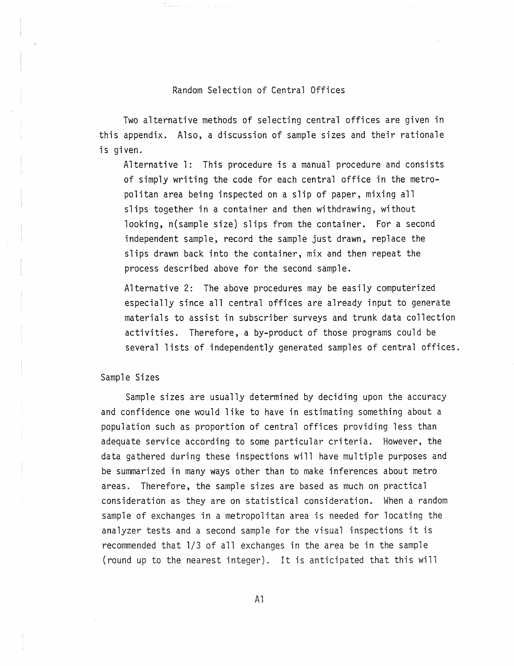#### Random Selection of Central Offices

Two alternative methods of selecting central offices are given in this appendix. Also, a discussion of sample sizes and their rationale is given.

Alternative 1: This procedure is a manual procedure and consists of simply writing the code for each central office in the metropolitan area being inspected on a slip of paper, mixing all slips together in a container and then withdrawing, without looking, n(sample size) slips from the container. For a second independent sample, record the sample just drawn, replace the slips drawn back into the container, mix and then repeat the process described above for the second sample.

Alternative 2: The above procedures may be easily computerized especially since all central offices are already input to generate materials to assist in subscriber surveys and trunk data collection activities. Therefore, a by-product of those programs could be several lists of independently generated samples of central offices.

#### Sample Sizes

Sample sizes are usually determined by deciding upon the accuracy and confidence one would like to have in estimating something about a population such as proportion of central offices providing less than adequate service according to some particular criteria. However, the data gathered during these inspections will have multiple purposes and be summarized in many ways other than to make inferences about metro areas. Therefore, the sample sizes are based as much on practical consideration as they are on statistical consideration. When a random sample of exchanges in a metropolitan area is needed for locating the analyzer tests and a second sample for the visual inspections it is recommended that 1/3 of all exchanges in the area be in the sample (round up to the nearest integer). It is anticipated that this will

Al